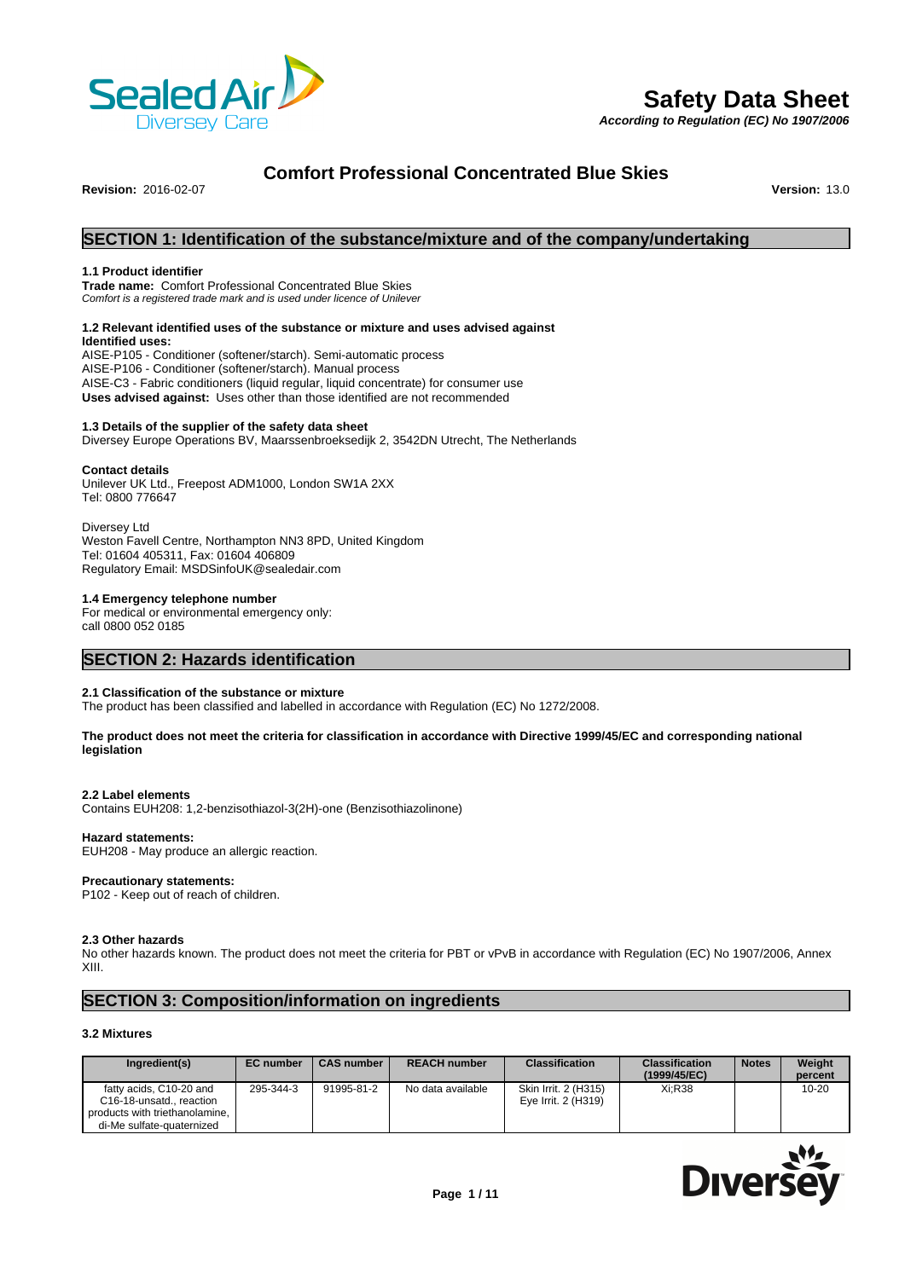

*According to Regulation (EC) No 1907/2006*



# **Comfort Professional Concentrated Blue Skies**

**Revision:** 2016-02-07 **Version:** 13.0

# **SECTION 1: Identification of the substance/mixture and of the company/undertaking**

#### **1.1 Product identifier**

**Trade name:** Comfort Professional Concentrated Blue Skies *Comfort is a registered trade mark and is used under licence of Unilever*

# **1.2 Relevant identified uses of the substance or mixture and uses advised against**

**Identified uses:** AISE-P105 - Conditioner (softener/starch). Semi-automatic process AISE-P106 - Conditioner (softener/starch). Manual process AISE-C3 - Fabric conditioners (liquid regular, liquid concentrate) for consumer use **Uses advised against:** Uses other than those identified are not recommended

## **1.3 Details of the supplier of the safety data sheet**

Diversey Europe Operations BV, Maarssenbroeksedijk 2, 3542DN Utrecht, The Netherlands

#### **Contact details**

Unilever UK Ltd., Freepost ADM1000, London SW1A 2XX Tel: 0800 776647

Diversey Ltd Weston Favell Centre, Northampton NN3 8PD, United Kingdom Tel: 01604 405311, Fax: 01604 406809 Regulatory Email: MSDSinfoUK@sealedair.com

#### **1.4 Emergency telephone number**

For medical or environmental emergency only: call 0800 052 0185

# **SECTION 2: Hazards identification**

#### **2.1 Classification of the substance or mixture**

The product has been classified and labelled in accordance with Regulation (EC) No 1272/2008.

#### **The product does not meet the criteria for classification in accordance with Directive 1999/45/EC and corresponding national legislation**

#### **2.2 Label elements**

Contains EUH208: 1,2-benzisothiazol-3(2H)-one (Benzisothiazolinone)

#### **Hazard statements:**

EUH208 - May produce an allergic reaction.

#### **Precautionary statements:**

P102 - Keep out of reach of children.

#### **2.3 Other hazards**

No other hazards known. The product does not meet the criteria for PBT or vPvB in accordance with Regulation (EC) No 1907/2006, Annex XIII.

# **SECTION 3: Composition/information on ingredients**

#### **3.2 Mixtures**

| Ingredient(s)                                                                                                      | <b>EC</b> number | <b>CAS number</b> | <b>REACH number</b> | <b>Classification</b>                       | <b>Classification</b><br>(1999/45/EC) | <b>Notes</b> | Weight<br>percent |
|--------------------------------------------------------------------------------------------------------------------|------------------|-------------------|---------------------|---------------------------------------------|---------------------------------------|--------------|-------------------|
| fatty acids, C10-20 and<br>C16-18-unsatd., reaction<br>products with triethanolamine.<br>di-Me sulfate-quaternized | 295-344-3        | 91995-81-2        | No data available   | Skin Irrit. 2 (H315)<br>Eve Irrit. 2 (H319) | Xi:R38                                |              | $10 - 20$         |

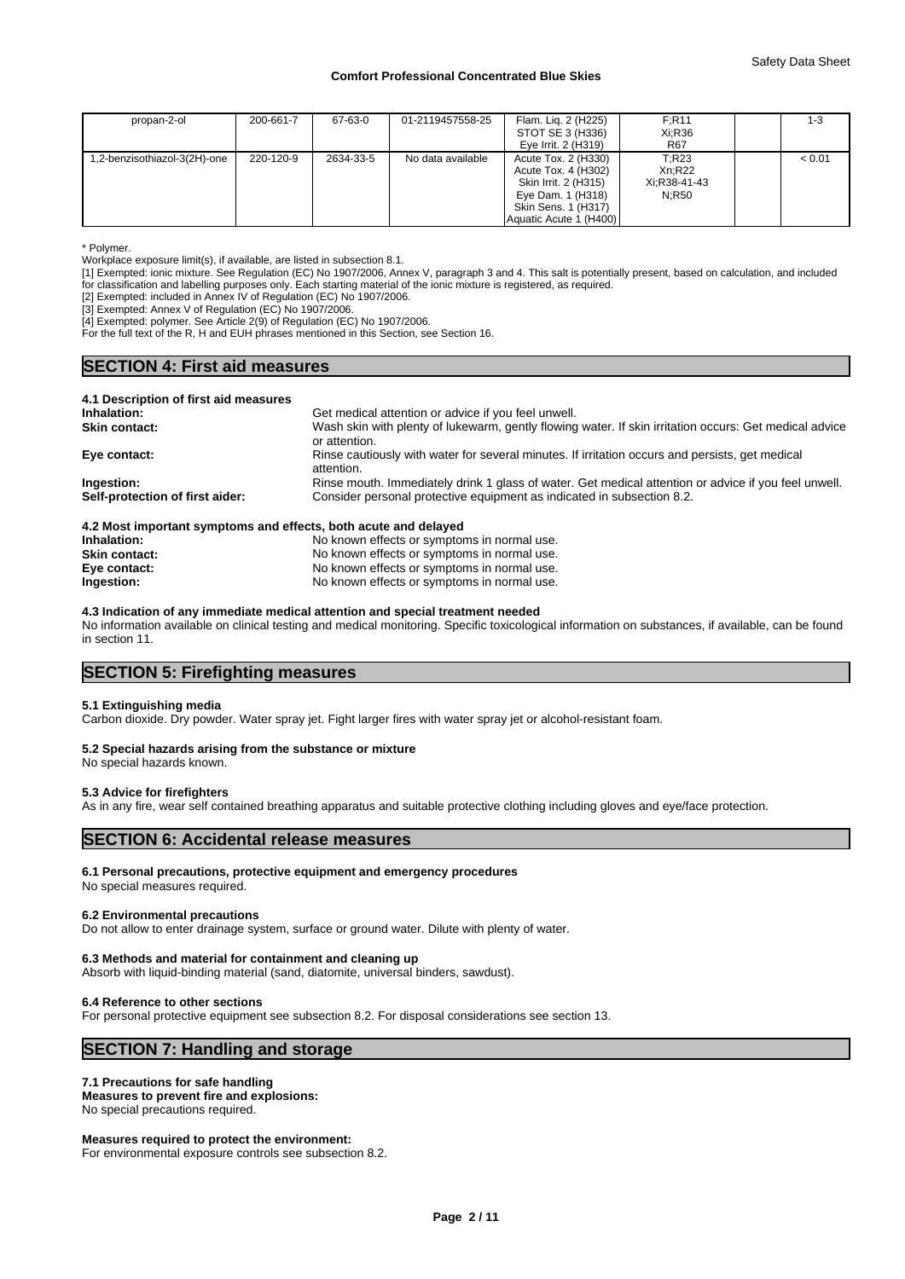| propan-2-ol                  | 200-661-7 | 67-63-0   | 01-2119457558-25  | Flam. Liq. 2 (H225)    | F:R11        | 1-3    |  |
|------------------------------|-----------|-----------|-------------------|------------------------|--------------|--------|--|
|                              |           |           |                   | STOT SE 3 (H336)       | Xi:R36       |        |  |
|                              |           |           |                   | Eye Irrit. 2 (H319)    | <b>R67</b>   |        |  |
| 1,2-benzisothiazol-3(2H)-one | 220-120-9 | 2634-33-5 | No data available | Acute Tox. 2 (H330)    | T:R23        | < 0.01 |  |
|                              |           |           |                   | Acute Tox. 4 (H302)    | Xn:R22       |        |  |
|                              |           |           |                   | Skin Irrit. 2 (H315)   | Xi:R38-41-43 |        |  |
|                              |           |           |                   | Eye Dam. 1 (H318)      | N:R50        |        |  |
|                              |           |           |                   | Skin Sens. 1 (H317)    |              |        |  |
|                              |           |           |                   | Aquatic Acute 1 (H400) |              |        |  |

\* Polymer.

Workplace exposure limit(s), if available, are listed in subsection 8.1.

[1] Exempted: ionic mixture. See Regulation (EC) No 1907/2006, Annex V, paragraph 3 and 4. This salt is potentially present, based on calculation, and included for classification and labelling purposes only. Each starting material of the ionic mixture is registered, as required.

[2] Exempted: included in Annex IV of Regulation (EC) No 1907/2006.

[3] Exempted: Annex V of Regulation (EC) No 1907/2006.

[4] Exempted: polymer. See Article 2(9) of Regulation (EC) No 1907/2006.

For the full text of the R, H and EUH phrases mentioned in this Section, see Section 16.

# **SECTION 4: First aid measures**

| 4.1 Description of first aid measures<br>Inhalation: | Get medical attention or advice if you feel unwell.                                                                     |
|------------------------------------------------------|-------------------------------------------------------------------------------------------------------------------------|
| <b>Skin contact:</b>                                 | Wash skin with plenty of lukewarm, gently flowing water. If skin irritation occurs: Get medical advice<br>or attention. |
| Eye contact:                                         | Rinse cautiously with water for several minutes. If irritation occurs and persists, get medical<br>attention.           |
| Ingestion:                                           | Rinse mouth. Immediately drink 1 glass of water. Get medical attention or advice if you feel unwell.                    |
| Self-protection of first aider:                      | Consider personal protective equipment as indicated in subsection 8.2.                                                  |

| 4.2 MOST IMPORTANTE SYNOGHIS AND CHECTS, DOIN ACUTE AND DETAYED |                                             |
|-----------------------------------------------------------------|---------------------------------------------|
| Inhalation:                                                     | No known effects or symptoms in normal use. |
| <b>Skin contact:</b>                                            | No known effects or symptoms in normal use. |
| Eye contact:                                                    | No known effects or symptoms in normal use. |
| Ingestion:                                                      | No known effects or symptoms in normal use. |

#### **4.3 Indication of any immediate medical attention and special treatment needed**

No information available on clinical testing and medical monitoring. Specific toxicological information on substances, if available, can be found in section 11.

# **SECTION 5: Firefighting measures**

#### **5.1 Extinguishing media**

Carbon dioxide. Dry powder. Water spray jet. Fight larger fires with water spray jet or alcohol-resistant foam.

#### **5.2 Special hazards arising from the substance or mixture**

No special hazards known.

#### **5.3 Advice for firefighters**

As in any fire, wear self contained breathing apparatus and suitable protective clothing including gloves and eye/face protection.

## **SECTION 6: Accidental release measures**

#### **6.1 Personal precautions, protective equipment and emergency procedures**

No special measures required.

#### **6.2 Environmental precautions**

Do not allow to enter drainage system, surface or ground water. Dilute with plenty of water.

#### **6.3 Methods and material for containment and cleaning up**

Absorb with liquid-binding material (sand, diatomite, universal binders, sawdust).

#### **6.4 Reference to other sections**

For personal protective equipment see subsection 8.2. For disposal considerations see section 13.

## **SECTION 7: Handling and storage**

#### **7.1 Precautions for safe handling**

**Measures to prevent fire and explosions:** No special precautions required.

**Measures required to protect the environment:** For environmental exposure controls see subsection 8.2.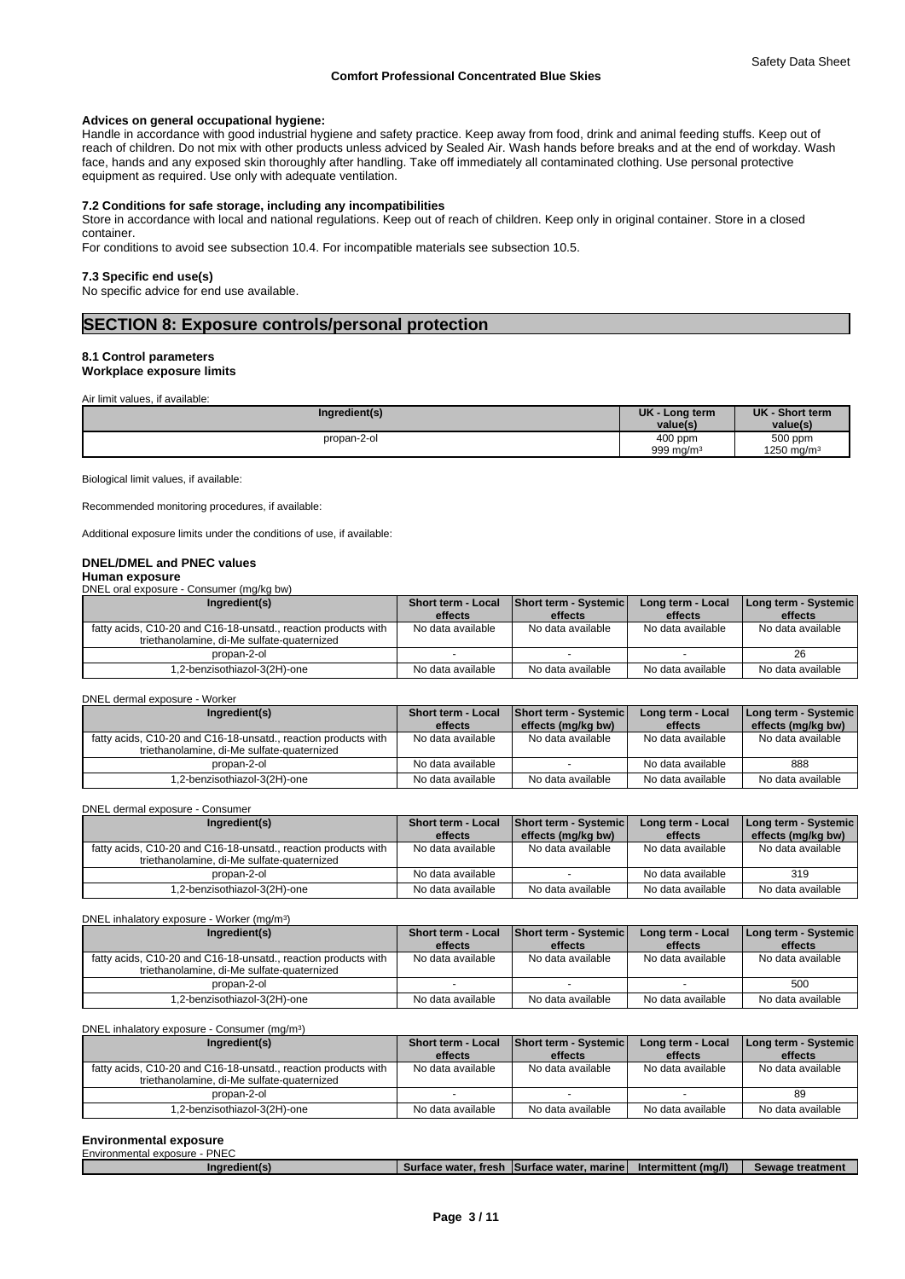## **Advices on general occupational hygiene:**

Handle in accordance with good industrial hygiene and safety practice. Keep away from food, drink and animal feeding stuffs. Keep out of reach of children. Do not mix with other products unless adviced by Sealed Air. Wash hands before breaks and at the end of workday. Wash face, hands and any exposed skin thoroughly after handling. Take off immediately all contaminated clothing. Use personal protective equipment as required. Use only with adequate ventilation.

## **7.2 Conditions for safe storage, including any incompatibilities**

Store in accordance with local and national regulations. Keep out of reach of children. Keep only in original container. Store in a closed container.

For conditions to avoid see subsection 10.4. For incompatible materials see subsection 10.5.

#### **7.3 Specific end use(s)**

No specific advice for end use available.

# **SECTION 8: Exposure controls/personal protection**

#### **8.1 Control parameters**

## **Workplace exposure limits**

Air limit values, if available:

| Ingredient(s) | <b>UK</b><br>- Long term<br>value(s) | <b>UK</b><br><b>Short term</b><br>value(s |
|---------------|--------------------------------------|-------------------------------------------|
| propan-2-ol   | $400$ ppm<br>999 mg/m $3$            | 500 ppm<br>1250 mg/m                      |

Biological limit values, if available:

Recommended monitoring procedures, if available:

Additional exposure limits under the conditions of use, if available:

#### **DNEL/DMEL and PNEC values Human exposure**

DNEL oral exposure - Consumer (mg/kg bw)

| Ingredient(s)                                                                                                | Short term - Local<br>effects | Short term - Systemic<br>effects | Long term - Local<br>effects | Long term - Systemic  <br>effects |
|--------------------------------------------------------------------------------------------------------------|-------------------------------|----------------------------------|------------------------------|-----------------------------------|
| fatty acids, C10-20 and C16-18-unsatd., reaction products with<br>triethanolamine, di-Me sulfate-quaternized | No data available             | No data available                | No data available            | No data available                 |
| propan-2-ol                                                                                                  |                               |                                  |                              | 26                                |
| .2-benzisothiazol-3(2H)-one                                                                                  | No data available             | No data available                | No data available            | No data available                 |

#### DNEL dermal exposure - Worker

| Ingredient(s)                                                                                                | <b>Short term - Local</b> | <b>Short term - Systemic</b> | Long term - Local | [Long term - Systemic] |
|--------------------------------------------------------------------------------------------------------------|---------------------------|------------------------------|-------------------|------------------------|
|                                                                                                              | effects                   | effects (mg/kg bw)           | effects           | effects (mg/kg bw)     |
| fatty acids, C10-20 and C16-18-unsatd., reaction products with<br>triethanolamine, di-Me sulfate-quaternized | No data available         | No data available            | No data available | No data available      |
| propan-2-ol                                                                                                  | No data available         |                              | No data available | 888                    |
| 1,2-benzisothiazol-3(2H)-one                                                                                 | No data available         | No data available            | No data available | No data available      |

DNEL dermal exposure - Consumer

| Ingredient(s)                                                                                                | <b>Short term - Local</b> | <b>Short term - Systemic</b> | Long term - Local | Long term - Systemic |
|--------------------------------------------------------------------------------------------------------------|---------------------------|------------------------------|-------------------|----------------------|
|                                                                                                              | effects                   | effects (mg/kg bw)           | effects           | effects (mg/kg bw)   |
| fatty acids, C10-20 and C16-18-unsatd., reaction products with<br>triethanolamine, di-Me sulfate-quaternized | No data available         | No data available            | No data available | No data available    |
| propan-2-ol                                                                                                  | No data available         |                              | No data available | 319                  |
| 1,2-benzisothiazol-3(2H)-one                                                                                 | No data available         | No data available            | No data available | No data available    |

#### DNEL inhalatory exposure - Worker (mg/m<sup>3</sup>) ) and  $\overline{\phantom{a}}$

|  | Ingredient(s)                                                                                                | <b>Short term - Local</b> | Short term - Systemic | Long term - Local | Long term - Systemic |
|--|--------------------------------------------------------------------------------------------------------------|---------------------------|-----------------------|-------------------|----------------------|
|  |                                                                                                              | effects                   | effects               | effects           | effects              |
|  | fatty acids, C10-20 and C16-18-unsatd., reaction products with<br>triethanolamine, di-Me sulfate-quaternized | No data available         | No data available     | No data available | No data available    |
|  | propan-2-ol                                                                                                  |                           |                       |                   | 500                  |
|  | 1,2-benzisothiazol-3(2H)-one                                                                                 | No data available         | No data available     | No data available | No data available    |

#### DNEL inhalatory exposure - Consumer (mg/m<sup>3</sup>

| DNEL inhalatory exposure - Consumer (mg/m <sup>3</sup> )                                                     |                               |                                         |                              |                                 |  |  |  |
|--------------------------------------------------------------------------------------------------------------|-------------------------------|-----------------------------------------|------------------------------|---------------------------------|--|--|--|
| Ingredient(s)                                                                                                | Short term - Local<br>effects | <b>Short term - Systemic</b><br>effects | Long term - Local<br>effects | Long term - Systemic<br>effects |  |  |  |
| fatty acids, C10-20 and C16-18-unsatd., reaction products with<br>triethanolamine, di-Me sulfate-quaternized | No data available             | No data available                       | No data available            | No data available               |  |  |  |
| propan-2-ol                                                                                                  |                               |                                         |                              | 89                              |  |  |  |
| 1,2-benzisothiazol-3(2H)-one                                                                                 | No data available             | No data available                       | No data available            | No data available               |  |  |  |

#### **Environmental exposure**

| Environmental exposure - PNEC |                                              |                     |                  |
|-------------------------------|----------------------------------------------|---------------------|------------------|
| Ingredient(s)                 | Surface water, fresh ISurface water, marinel | Intermittent (ma/l) | Sewage treatment |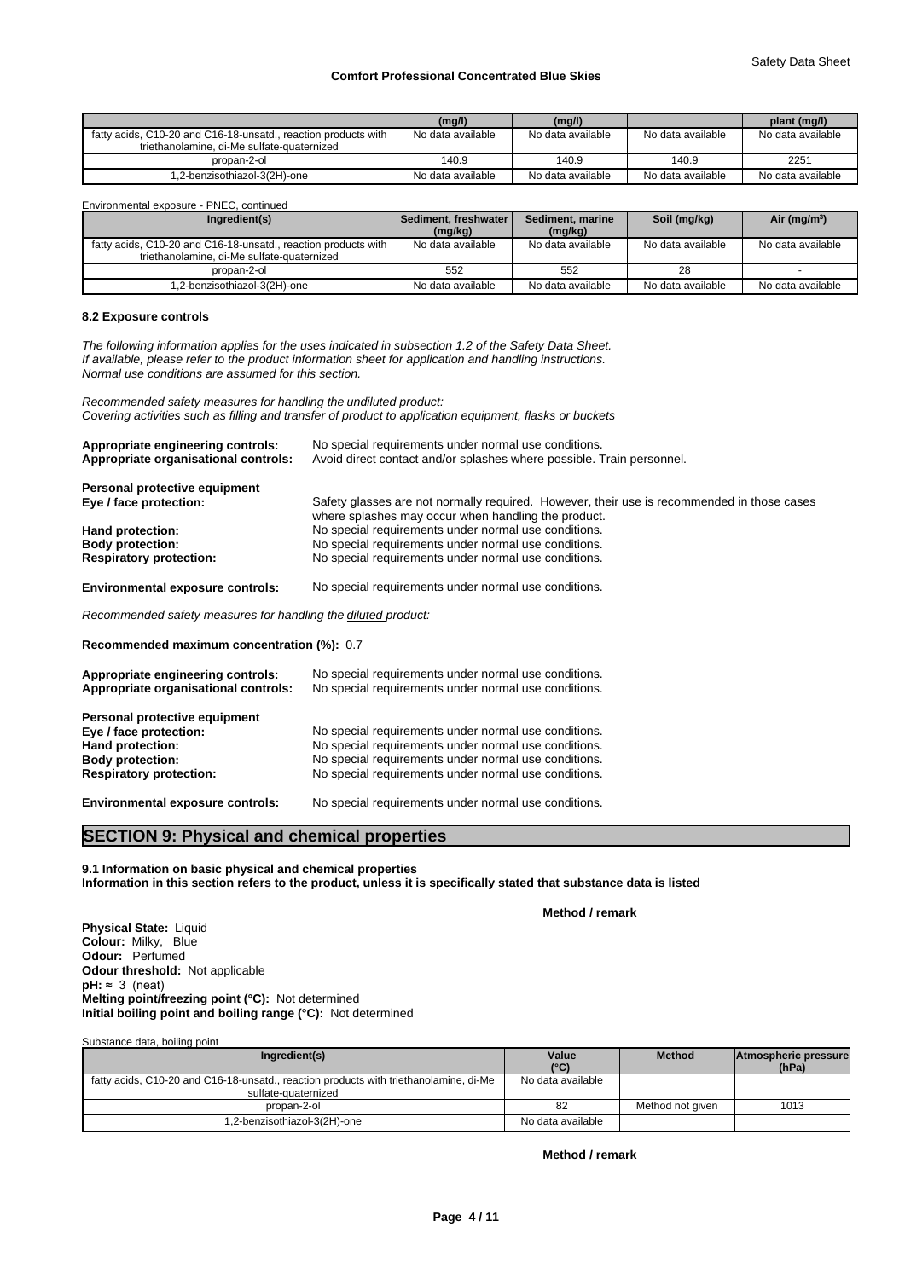|                                                                                                              | (mg/l)            | (mg/l)            |                   | plant (mg/l)      |
|--------------------------------------------------------------------------------------------------------------|-------------------|-------------------|-------------------|-------------------|
| fatty acids, C10-20 and C16-18-unsatd., reaction products with<br>triethanolamine, di-Me sulfate-quaternized | No data available | No data available | No data available | No data available |
| propan-2-ol                                                                                                  | 140.9             | 140.9             | 140.9             | 2251              |
| 1,2-benzisothiazol-3(2H)-one                                                                                 | No data available | No data available | No data available | No data available |

Environmental exposure - PNEC, continued

| Ingredient(s)                                                                                                | Sediment, freshwater<br>(mg/kg) | Sediment, marine<br>(mg/kg) | Soil (mg/kg)      | Air (mg/m <sup>3</sup> ) |
|--------------------------------------------------------------------------------------------------------------|---------------------------------|-----------------------------|-------------------|--------------------------|
| fatty acids, C10-20 and C16-18-unsatd., reaction products with<br>triethanolamine, di-Me sulfate-quaternized | No data available               | No data available           | No data available | No data available        |
| propan-2-ol                                                                                                  | 552                             | 552                         | 28                |                          |
| 1,2-benzisothiazol-3(2H)-one                                                                                 | No data available               | No data available           | No data available | No data available        |

#### **8.2 Exposure controls**

*The following information applies for the uses indicated in subsection 1.2 of the Safety Data Sheet. If available, please refer to the product information sheet for application and handling instructions. Normal use conditions are assumed for this section.*

*Recommended safety measures for handling the undiluted product: Covering activities such as filling and transfer of product to application equipment, flasks or buckets*

| Appropriate engineering controls:<br>Appropriate organisational controls: | No special requirements under normal use conditions.<br>Avoid direct contact and/or splashes where possible. Train personnel.                     |  |  |  |  |  |
|---------------------------------------------------------------------------|---------------------------------------------------------------------------------------------------------------------------------------------------|--|--|--|--|--|
| Personal protective equipment                                             |                                                                                                                                                   |  |  |  |  |  |
| Eye / face protection:                                                    | Safety glasses are not normally required. However, their use is recommended in those cases<br>where splashes may occur when handling the product. |  |  |  |  |  |
| Hand protection:                                                          | No special requirements under normal use conditions.                                                                                              |  |  |  |  |  |
| <b>Body protection:</b>                                                   | No special requirements under normal use conditions.                                                                                              |  |  |  |  |  |
| <b>Respiratory protection:</b>                                            | No special requirements under normal use conditions.                                                                                              |  |  |  |  |  |
| <b>Environmental exposure controls:</b>                                   | No special requirements under normal use conditions.                                                                                              |  |  |  |  |  |
| Recommended safety measures for handling the diluted product:             |                                                                                                                                                   |  |  |  |  |  |
| Recommended maximum concentration (%): 0.7                                |                                                                                                                                                   |  |  |  |  |  |

| Appropriate engineering controls:<br>Appropriate organisational controls: | No special requirements under normal use conditions.<br>No special requirements under normal use conditions. |
|---------------------------------------------------------------------------|--------------------------------------------------------------------------------------------------------------|
| Personal protective equipment                                             |                                                                                                              |
| Eye / face protection:                                                    | No special requirements under normal use conditions.                                                         |
| Hand protection:                                                          | No special requirements under normal use conditions.                                                         |
| <b>Body protection:</b>                                                   | No special requirements under normal use conditions.                                                         |
| <b>Respiratory protection:</b>                                            | No special requirements under normal use conditions.                                                         |
| <b>Environmental exposure controls:</b>                                   | No special requirements under normal use conditions.                                                         |

# **SECTION 9: Physical and chemical properties**

**9.1 Information on basic physical and chemical properties Information in this section refers to the product, unless it is specifically stated that substance data is listed**

**Method / remark**

**Physical State:** Liquid **Colour:** Milky, Blue **Odour:** Perfumed **Odour threshold:** Not applicable  $pH: ~ 3$  (neat) **Melting point/freezing point (°C):** Not determined **Initial boiling point and boiling range (°C):** Not determined

| Substance data, boiling point                                                         |                   |                  |                      |
|---------------------------------------------------------------------------------------|-------------------|------------------|----------------------|
| Ingredient(s)                                                                         | Value             | <b>Method</b>    | Atmospheric pressure |
|                                                                                       | $(^{\circ}C)$     |                  | (hPa)                |
| fatty acids, C10-20 and C16-18-unsatd., reaction products with triethanolamine, di-Me | No data available |                  |                      |
| sulfate-quaternized                                                                   |                   |                  |                      |
| propan-2-ol                                                                           | 82                | Method not given | 1013                 |
| 1,2-benzisothiazol-3(2H)-one                                                          | No data available |                  |                      |

**Method / remark**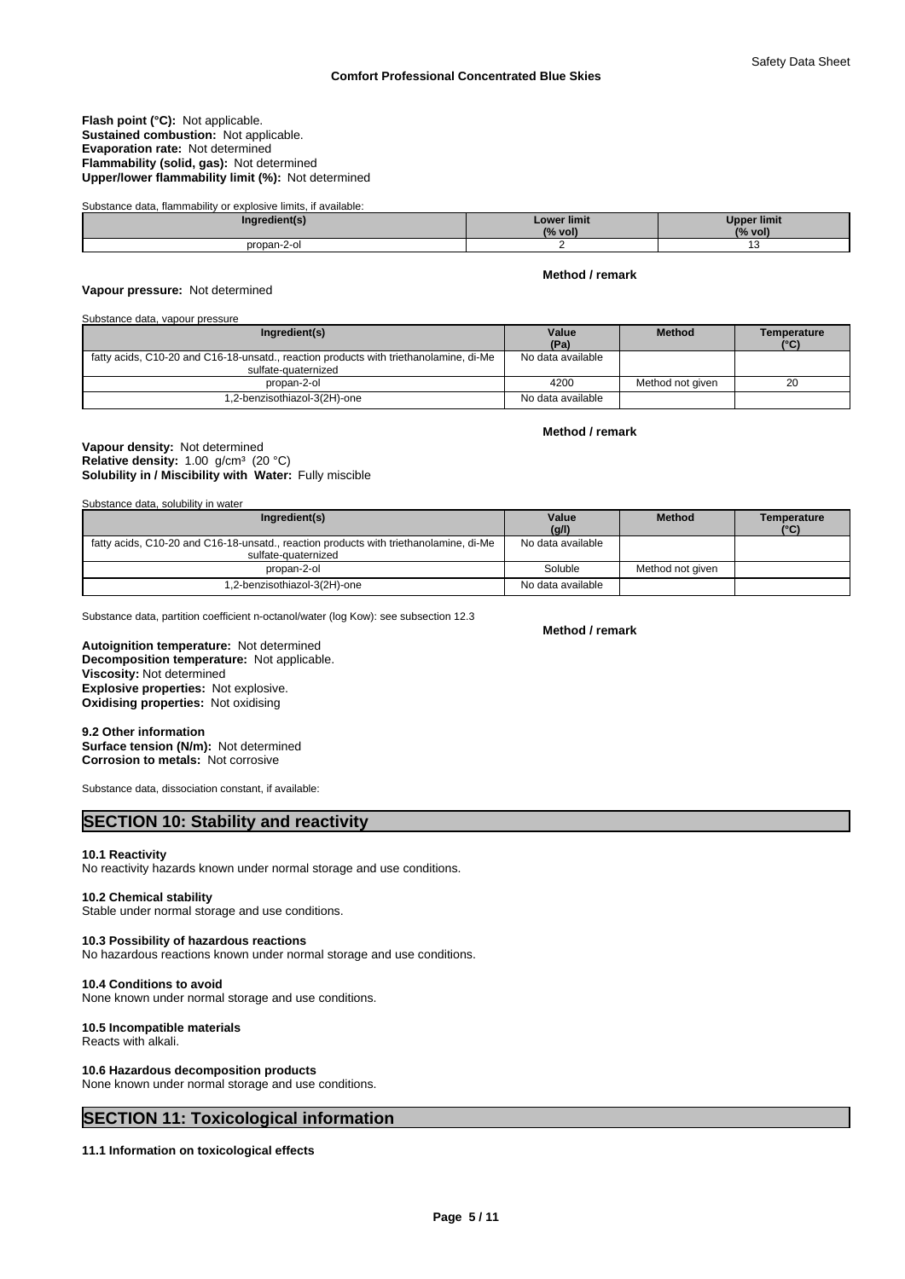#### **Flash point (°C):** Not applicable. **Sustained combustion:** Not applicable. **Evaporation rate:** Not determined **Flammability (solid, gas):** Not determined **Upper/lower flammability limit (%):** Not determined

| Substance data, flammability or explosive limits, if available: |                               |                               |
|-----------------------------------------------------------------|-------------------------------|-------------------------------|
| Ingredient(s)                                                   | <b>Lower limit</b><br>(% vol) | <b>Upper limit</b><br>(% vol) |
| propan-2-ol                                                     |                               |                               |

#### **Vapour pressure:** Not determined

#### Substance data, vapour pressure

| Ingredient(s)                                                                                                | Value             | <b>Method</b>    | Temperature |
|--------------------------------------------------------------------------------------------------------------|-------------------|------------------|-------------|
|                                                                                                              | (Pa)              |                  | (°C)        |
| fatty acids, C10-20 and C16-18-unsatd., reaction products with triethanolamine, di-Me<br>sulfate-quaternized | No data available |                  |             |
| propan-2-ol                                                                                                  | 4200              | Method not given | 20          |
| 1,2-benzisothiazol-3(2H)-one                                                                                 | No data available |                  |             |

**Method / remark**

**Method / remark**

#### **Solubility in / Miscibility with Water:** Fully miscible **Vapour density:** Not determined Relative density: 1.00 g/cm<sup>3</sup> (20 °C)

Substance data, solubility in water

| Ingredient(s)                                                                                                | Value<br>(g/l)    | <b>Method</b>    | Temperature<br>(°C) |
|--------------------------------------------------------------------------------------------------------------|-------------------|------------------|---------------------|
| fatty acids, C10-20 and C16-18-unsatd., reaction products with triethanolamine, di-Me<br>sulfate-quaternized | No data available |                  |                     |
| propan-2-ol                                                                                                  | Soluble           | Method not aiven |                     |
| 1,2-benzisothiazol-3(2H)-one                                                                                 | No data available |                  |                     |

Substance data, partition coefficient n-octanol/water (log Kow): see subsection 12.3

**Decomposition temperature:** Not applicable. **Autoignition temperature:** Not determined **Viscosity:** Not determined **Explosive properties:** Not explosive. **Oxidising properties:** Not oxidising

#### **9.2 Other information Surface tension (N/m):** Not determined **Corrosion to metals:** Not corrosive

Substance data, dissociation constant, if available:

# **SECTION 10: Stability and reactivity**

#### **10.1 Reactivity**

No reactivity hazards known under normal storage and use conditions.

#### **10.2 Chemical stability**

Stable under normal storage and use conditions.

#### **10.3 Possibility of hazardous reactions**

No hazardous reactions known under normal storage and use conditions.

#### **10.4 Conditions to avoid**

None known under normal storage and use conditions.

# **10.5 Incompatible materials**

Reacts with alkali.

#### **10.6 Hazardous decomposition products**

None known under normal storage and use conditions.

# **SECTION 11: Toxicological information**

**11.1 Information on toxicological effects**

#### **Method / remark**

**Page 5 / 11**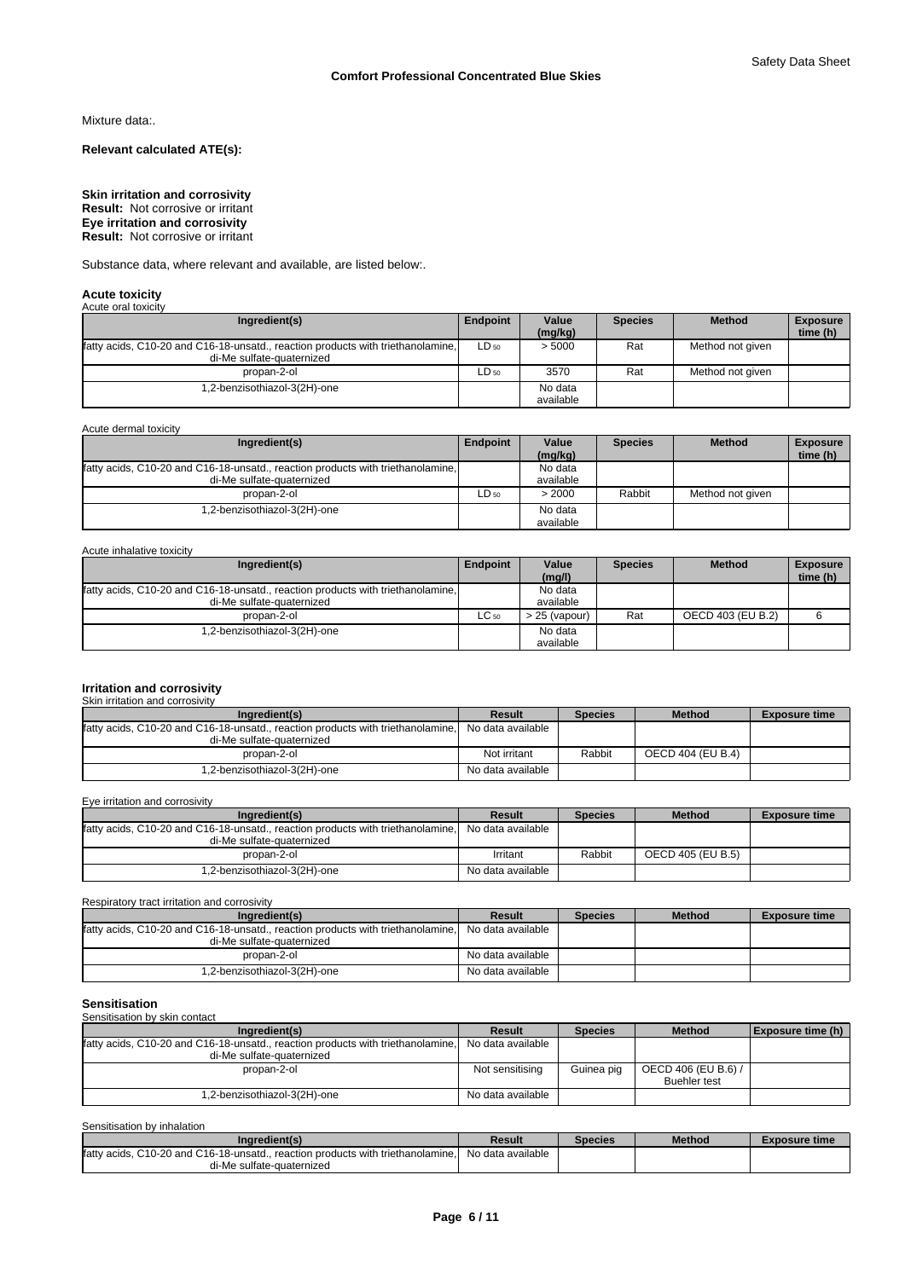Mixture data:.

**Relevant calculated ATE(s):**

#### **Skin irritation and corrosivity Eye irritation and corrosivity Result:** Not corrosive or irritant **Result:** Not corrosive or irritant

Substance data, where relevant and available, are listed below:.

#### **Acute toxicity** Acute oral toxi

| AVUUT VIII IVAIVIIV                                                                                          |                 |                  |                |                  |                             |
|--------------------------------------------------------------------------------------------------------------|-----------------|------------------|----------------|------------------|-----------------------------|
| Ingredient(s)                                                                                                | <b>Endpoint</b> | Value<br>(mg/kg) | <b>Species</b> | <b>Method</b>    | <b>Exposure</b><br>time (h) |
| fatty acids, C10-20 and C16-18-unsatd., reaction products with triethanolamine,<br>di-Me sulfate-quaternized | $LD_{50}$       | > 5000           | Rat            | Method not given |                             |
| propan-2-ol                                                                                                  | LD 50           | 3570             | Rat            | Method not given |                             |
| .2-benzisothiazol-3(2H)-one                                                                                  |                 | No data          |                |                  |                             |
|                                                                                                              |                 | available        |                |                  |                             |

| Acute dermal toxicity                                                                                        |           |                      |                |                  |                             |
|--------------------------------------------------------------------------------------------------------------|-----------|----------------------|----------------|------------------|-----------------------------|
| Ingredient(s)                                                                                                | Endpoint  | Value<br>(mg/kg)     | <b>Species</b> | <b>Method</b>    | <b>Exposure</b><br>time (h) |
| fatty acids, C10-20 and C16-18-unsatd., reaction products with triethanolamine,<br>di-Me sulfate-quaternized |           | No data<br>available |                |                  |                             |
| propan-2-ol                                                                                                  | $LD_{50}$ | > 2000               | Rabbit         | Method not given |                             |
| .2-benzisothiazol-3(2H)-one                                                                                  |           | No data<br>available |                |                  |                             |

#### Acute inhalative toxicity

| Ingredient(s)                                                                   | Endpoint  | Value<br>(mq/l) | <b>Species</b> | <b>Method</b>     | <b>Exposure</b><br>time (h) |
|---------------------------------------------------------------------------------|-----------|-----------------|----------------|-------------------|-----------------------------|
| fatty acids, C10-20 and C16-18-unsatd., reaction products with triethanolamine, |           | No data         |                |                   |                             |
| di-Me sulfate-quaternized                                                       |           | available       |                |                   |                             |
| propan-2-ol                                                                     | $LC_{50}$ | 25 (vapour)     | Rat            | OECD 403 (EU B.2) |                             |
| .2-benzisothiazol-3(2H)-one                                                     |           | No data         |                |                   |                             |
|                                                                                 |           | available       |                |                   |                             |

# **Irritation and corrosivity**

| Skin irritation and corrosivity                                                                              |                   |                |                   |                      |
|--------------------------------------------------------------------------------------------------------------|-------------------|----------------|-------------------|----------------------|
| Ingredient(s)                                                                                                | <b>Result</b>     | <b>Species</b> | <b>Method</b>     | <b>Exposure time</b> |
| fatty acids, C10-20 and C16-18-unsatd., reaction products with triethanolamine.<br>di-Me sulfate-quaternized | No data available |                |                   |                      |
| propan-2-ol                                                                                                  | Not irritant      | Rabbit         | OECD 404 (EU B.4) |                      |
| 1,2-benzisothiazol-3(2H)-one                                                                                 | No data available |                |                   |                      |

| Eve irritation and corrosivity                                                                                                 |                   |                |                   |                      |
|--------------------------------------------------------------------------------------------------------------------------------|-------------------|----------------|-------------------|----------------------|
| Ingredient(s)                                                                                                                  | <b>Result</b>     | <b>Species</b> | <b>Method</b>     | <b>Exposure time</b> |
| fatty acids, C10-20 and C16-18-unsatd., reaction products with triethanolamine, No data available<br>di-Me sulfate-quaternized |                   |                |                   |                      |
| propan-2-ol                                                                                                                    | Irritant          | Rabbit         | OECD 405 (EU B.5) |                      |
| 1,2-benzisothiazol-3(2H)-one                                                                                                   | No data available |                |                   |                      |

Respiratory tract irritation and corrosivity

| Ingredient(s)                                                                   | Result            | <b>Species</b> | <b>Method</b> | <b>Exposure time</b> |
|---------------------------------------------------------------------------------|-------------------|----------------|---------------|----------------------|
| fatty acids, C10-20 and C16-18-unsatd., reaction products with triethanolamine. | No data available |                |               |                      |
| di-Me sulfate-quaternized                                                       |                   |                |               |                      |
| propan-2-ol                                                                     | No data available |                |               |                      |
| 1.2-benzisothiazol-3(2H)-one                                                    | No data available |                |               |                      |

# **Sensitisation** Sensitisation by skin contact

| <b>CONDITIONION DY ORIGINAL</b>                                                 |                   |                |                     |                          |  |  |  |  |  |
|---------------------------------------------------------------------------------|-------------------|----------------|---------------------|--------------------------|--|--|--|--|--|
| Ingredient(s)                                                                   | <b>Result</b>     | <b>Species</b> | <b>Method</b>       | <b>Exposure time (h)</b> |  |  |  |  |  |
| fatty acids, C10-20 and C16-18-unsatd., reaction products with triethanolamine. | No data available |                |                     |                          |  |  |  |  |  |
| di-Me sulfate-quaternized                                                       |                   |                |                     |                          |  |  |  |  |  |
| propan-2-ol                                                                     | Not sensitising   | Guinea pig     | OECD 406 (EU B.6) / |                          |  |  |  |  |  |
|                                                                                 |                   |                | <b>Buehler test</b> |                          |  |  |  |  |  |
| 1,2-benzisothiazol-3(2H)-one                                                    | No data available |                |                     |                          |  |  |  |  |  |

Sensitisation by inhalation

| Ingredient(s)                                                                  | Result            | <b>Species</b> | <b>Method</b> | <b>Exposure time</b> |
|--------------------------------------------------------------------------------|-------------------|----------------|---------------|----------------------|
| lfatty acids. C10-20 and C16-18-unsatd reaction products with triethanolamine. | No data available |                |               |                      |
| di-Me sulfate-quaternized                                                      |                   |                |               |                      |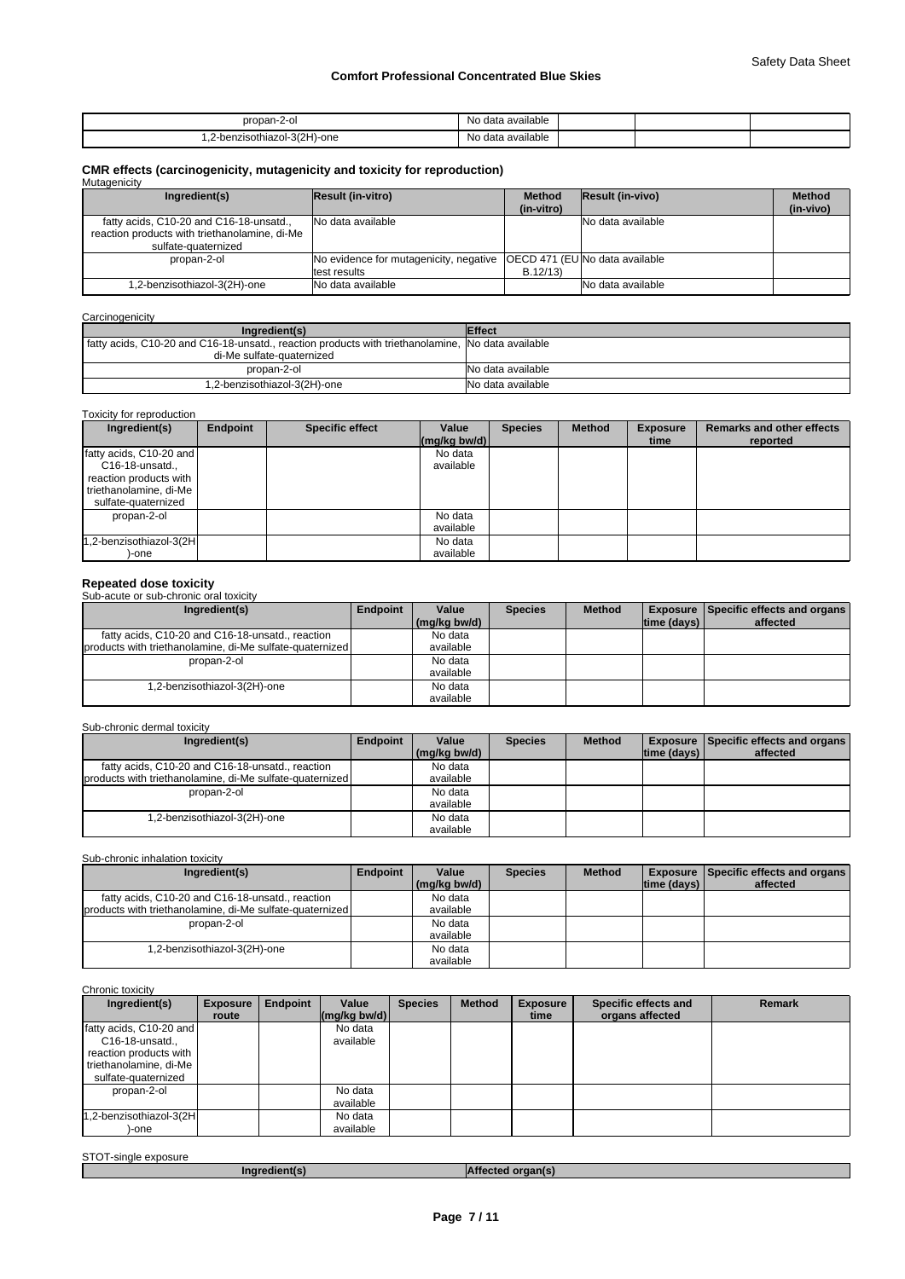| oropan-2-c.                                              | .<br>o data available.<br>Nο |  |  |
|----------------------------------------------------------|------------------------------|--|--|
| 3/2H)-one<br>'-benzisothiazol<br>z-hor-<br>$\sim$ $\sim$ | i available<br>No<br>, data  |  |  |

# **CMR effects (carcinogenicity, mutagenicity and toxicity for reproduction)** Mutagenicity

| managonony                                                                                                      |                                                                                         |                             |                         |                            |
|-----------------------------------------------------------------------------------------------------------------|-----------------------------------------------------------------------------------------|-----------------------------|-------------------------|----------------------------|
| Ingredient(s)                                                                                                   | Result (in-vitro)                                                                       | <b>Method</b><br>(in-vitro) | <b>Result (in-vivo)</b> | <b>Method</b><br>(in-vivo) |
| fatty acids, C10-20 and C16-18-unsatd.,<br>reaction products with triethanolamine, di-Me<br>sulfate-quaternized | No data available                                                                       |                             | No data available       |                            |
| propan-2-ol                                                                                                     | No evidence for mutagenicity, negative   OECD 471 (EU No data available<br>test results | B.12/13                     |                         |                            |
| .2-benzisothiazol-3(2H)-one                                                                                     | No data available                                                                       |                             | No data available       |                            |

#### **Carcinogenicity**

| Ingredient(s)                                                                                     | <b>Effect</b>     |
|---------------------------------------------------------------------------------------------------|-------------------|
| fatty acids, C10-20 and C16-18-unsatd., reaction products with triethanolamine, No data available |                   |
| di-Me sulfate-quaternized                                                                         |                   |
| propan-2-ol                                                                                       | No data available |
| 1,2-benzisothiazol-3(2H)-one                                                                      | No data available |

#### Toxicity for reproduction

| Ingredient(s)           | Endpoint | <b>Specific effect</b> | Value<br>$(mg/kg$ bw/d) | <b>Species</b> | <b>Method</b> | <b>Exposure</b><br>time | <b>Remarks and other effects</b><br>reported |
|-------------------------|----------|------------------------|-------------------------|----------------|---------------|-------------------------|----------------------------------------------|
|                         |          |                        |                         |                |               |                         |                                              |
| fatty acids, C10-20 and |          |                        | No data                 |                |               |                         |                                              |
| C16-18-unsatd.,         |          |                        | available               |                |               |                         |                                              |
| reaction products with  |          |                        |                         |                |               |                         |                                              |
| triethanolamine, di-Me  |          |                        |                         |                |               |                         |                                              |
| sulfate-quaternized     |          |                        |                         |                |               |                         |                                              |
| propan-2-ol             |          |                        | No data                 |                |               |                         |                                              |
|                         |          |                        | available               |                |               |                         |                                              |
| 1,2-benzisothiazol-3(2H |          |                        | No data                 |                |               |                         |                                              |
| )-one                   |          |                        | available               |                |               |                         |                                              |

**Repeated dose toxicity** Sub-acute or sub-chronic oral toxicity

| Ingredient(s)                                            | Endpoint | Value        | <b>Species</b> | <b>Method</b> |             | <b>Exposure   Specific effects and organs  </b> |
|----------------------------------------------------------|----------|--------------|----------------|---------------|-------------|-------------------------------------------------|
|                                                          |          | (mg/kg bw/d) |                |               | time (days) | affected                                        |
| fatty acids, C10-20 and C16-18-unsatd., reaction         |          | No data      |                |               |             |                                                 |
| products with triethanolamine, di-Me sulfate-quaternized |          | available    |                |               |             |                                                 |
| propan-2-ol                                              |          | No data      |                |               |             |                                                 |
|                                                          |          | available    |                |               |             |                                                 |
| 1,2-benzisothiazol-3(2H)-one                             |          | No data      |                |               |             |                                                 |
|                                                          |          | available    |                |               |             |                                                 |

#### Sub-chronic dermal toxicity

| Ingredient(s)                                            | Endpoint | Value        | <b>Species</b> | <b>Method</b> |             | <b>Exposure   Specific effects and organs  </b> |
|----------------------------------------------------------|----------|--------------|----------------|---------------|-------------|-------------------------------------------------|
|                                                          |          | (mg/kg bw/d) |                |               | time (days) | affected                                        |
| fatty acids, C10-20 and C16-18-unsatd., reaction         |          | No data      |                |               |             |                                                 |
| products with triethanolamine, di-Me sulfate-quaternized |          | available    |                |               |             |                                                 |
| propan-2-ol                                              |          | No data      |                |               |             |                                                 |
|                                                          |          | available    |                |               |             |                                                 |
| 1,2-benzisothiazol-3(2H)-one                             |          | No data      |                |               |             |                                                 |
|                                                          |          | available    |                |               |             |                                                 |

# Sub-chronic inhalation toxicity

| Ingredient(s)                                            | Endpoint | Value        | <b>Species</b> | <b>Method</b> |                    | <b>Exposure   Specific effects and organs  </b> |
|----------------------------------------------------------|----------|--------------|----------------|---------------|--------------------|-------------------------------------------------|
|                                                          |          | (ma/ka bw/d) |                |               | $ time$ (days) $ $ | affected                                        |
| fatty acids, C10-20 and C16-18-unsatd., reaction         |          | No data      |                |               |                    |                                                 |
| products with triethanolamine, di-Me sulfate-quaternized |          | available    |                |               |                    |                                                 |
| propan-2-ol                                              |          | No data      |                |               |                    |                                                 |
|                                                          |          | available    |                |               |                    |                                                 |
| 1,2-benzisothiazol-3(2H)-one                             |          | No data      |                |               |                    |                                                 |
|                                                          |          | available    |                |               |                    |                                                 |

## Chronic toxicity

| Ingredient(s)                                                                                                            | <b>Exposure</b> | <b>Endpoint</b> | Value                                                    | <b>Species</b> | <b>Method</b> | <b>Exposure</b> | Specific effects and | <b>Remark</b> |
|--------------------------------------------------------------------------------------------------------------------------|-----------------|-----------------|----------------------------------------------------------|----------------|---------------|-----------------|----------------------|---------------|
|                                                                                                                          | route           |                 | $\left \frac{\text{mag}}{\text{kg}}\right $ (mg/kg bw/d) |                |               | time            | organs affected      |               |
| fatty acids, C10-20 and<br>$C16-18$ -unsatd.,<br>reaction products with<br>triethanolamine, di-Me<br>sulfate-quaternized |                 |                 | No data<br>available                                     |                |               |                 |                      |               |
| propan-2-ol                                                                                                              |                 |                 | No data<br>available                                     |                |               |                 |                      |               |
| 1,2-benzisothiazol-3(2H<br>-one                                                                                          |                 |                 | No data<br>available                                     |                |               |                 |                      |               |

| STOT-single e<br>exposure |                   |
|---------------------------|-------------------|
| Inaredient(s)             | organ(s<br>∍r:rea |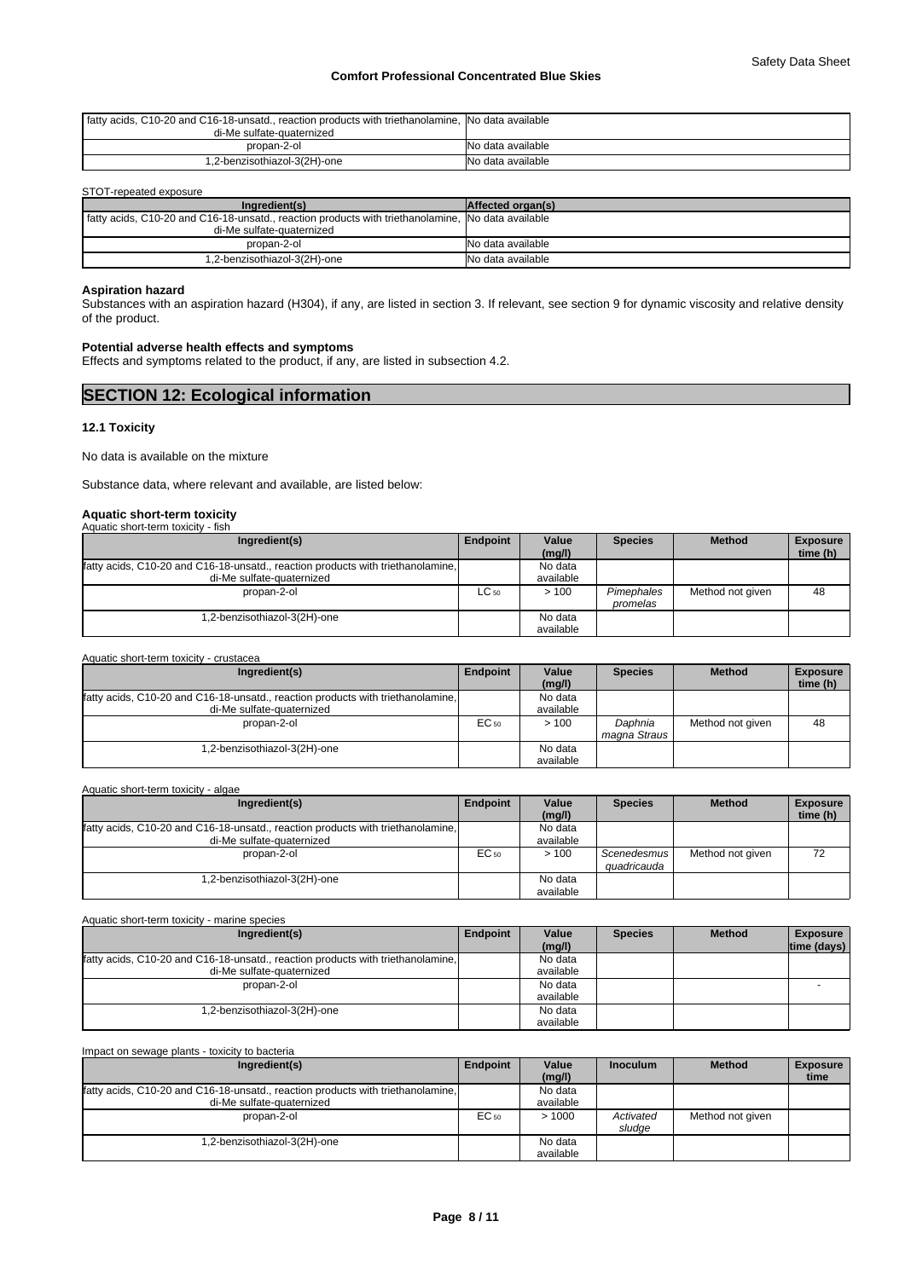| fatty acids, C10-20 and C16-18-unsatd., reaction products with triethanolamine. No data available |                   |
|---------------------------------------------------------------------------------------------------|-------------------|
| di-Me sulfate-quaternized                                                                         |                   |
| propan-2-ol                                                                                       | No data available |
| 1,2-benzisothiazol-3(2H)-one                                                                      | No data available |

#### STOT-repeated exposure

| Ingredient(s)                                                                                     | Affected organ(s) |
|---------------------------------------------------------------------------------------------------|-------------------|
| fatty acids, C10-20 and C16-18-unsatd., reaction products with triethanolamine, No data available |                   |
| di-Me sulfate-quaternized                                                                         |                   |
| propan-2-ol                                                                                       | No data available |
| 1,2-benzisothiazol-3(2H)-one                                                                      | No data available |

# **Aspiration hazard**

Substances with an aspiration hazard (H304), if any, are listed in section 3. If relevant, see section 9 for dynamic viscosity and relative density of the product.

## **Potential adverse health effects and symptoms**

Effects and symptoms related to the product, if any, are listed in subsection 4.2.

| <b>SECTION 12: Ecological information</b> |  |
|-------------------------------------------|--|
| .                                         |  |

#### **12.1 Toxicity**

No data is available on the mixture

Substance data, where relevant and available, are listed below:

# **Aquatic short-term toxicity** Aquatic short-term toxicity - fish

| $\overline{a}$ and $\overline{b}$ and $\overline{c}$ and $\overline{c}$<br>     |           |           |                |                  |                 |
|---------------------------------------------------------------------------------|-----------|-----------|----------------|------------------|-----------------|
| Ingredient(s)                                                                   | Endpoint  | Value     | <b>Species</b> | <b>Method</b>    | <b>Exposure</b> |
|                                                                                 |           | (mg/l)    |                |                  | time (h)        |
| fatty acids, C10-20 and C16-18-unsatd., reaction products with triethanolamine, |           | No data   |                |                  |                 |
| di-Me sulfate-quaternized                                                       |           | available |                |                  |                 |
| propan-2-ol                                                                     | $LC_{50}$ | >100      | Pimephales     | Method not given | 48              |
|                                                                                 |           |           | promelas       |                  |                 |
| 1,2-benzisothiazol-3(2H)-one                                                    |           | No data   |                |                  |                 |
|                                                                                 |           | available |                |                  |                 |

| Aquatic short-term toxicity - crustacea                                                                      |           |                      |                         |                  |                             |
|--------------------------------------------------------------------------------------------------------------|-----------|----------------------|-------------------------|------------------|-----------------------------|
| Ingredient(s)                                                                                                | Endpoint  | Value<br>(mg/l)      | <b>Species</b>          | <b>Method</b>    | <b>Exposure</b><br>time (h) |
| fatty acids, C10-20 and C16-18-unsatd., reaction products with triethanolamine,<br>di-Me sulfate-quaternized |           | No data<br>available |                         |                  |                             |
| propan-2-ol                                                                                                  | $EC_{50}$ | >100                 | Daphnia<br>magna Straus | Method not given | 48                          |
| .2-benzisothiazol-3(2H)-one                                                                                  |           | No data<br>available |                         |                  |                             |

Aquatic short-term toxicity - algae

| Ingredient(s)                                                                   | Endpoint  | Value<br>(mg/l) | <b>Species</b>             | <b>Method</b>    | <b>Exposure</b><br>time (h) |
|---------------------------------------------------------------------------------|-----------|-----------------|----------------------------|------------------|-----------------------------|
| fatty acids, C10-20 and C16-18-unsatd., reaction products with triethanolamine, |           | No data         |                            |                  |                             |
| di-Me sulfate-quaternized                                                       |           | available       |                            |                  |                             |
| propan-2-ol                                                                     | $EC_{50}$ | >100            | Scenedesmus<br>auadricauda | Method not given | 72                          |
| .2-benzisothiazol-3(2H)-one                                                     |           | No data         |                            |                  |                             |
|                                                                                 |           | available       |                            |                  |                             |

| Ingredient(s)                                                                   | Endpoint | Value<br>(mg/l) | <b>Species</b> | <b>Method</b> | <b>Exposure</b><br>time (days) |
|---------------------------------------------------------------------------------|----------|-----------------|----------------|---------------|--------------------------------|
| fatty acids, C10-20 and C16-18-unsatd., reaction products with triethanolamine, |          | No data         |                |               |                                |
| di-Me sulfate-quaternized                                                       |          | available       |                |               |                                |
| propan-2-ol                                                                     |          | No data         |                |               |                                |
|                                                                                 |          | available       |                |               |                                |
| 1,2-benzisothiazol-3(2H)-one                                                    |          | No data         |                |               |                                |
|                                                                                 |          | available       |                |               |                                |

| Impact on sewage plants - toxicity to bacteria                                  |           |                 |                 |                  |                         |  |  |  |
|---------------------------------------------------------------------------------|-----------|-----------------|-----------------|------------------|-------------------------|--|--|--|
| Ingredient(s)                                                                   | Endpoint  | Value<br>(mg/l) | <b>Inoculum</b> | <b>Method</b>    | <b>Exposure</b><br>time |  |  |  |
| fatty acids, C10-20 and C16-18-unsatd., reaction products with triethanolamine, |           | No data         |                 |                  |                         |  |  |  |
| di-Me sulfate-quaternized                                                       |           | available       |                 |                  |                         |  |  |  |
| propan-2-ol                                                                     | $EC_{50}$ | >1000           | Activated       | Method not given |                         |  |  |  |
|                                                                                 |           |                 | sludge          |                  |                         |  |  |  |
| .2-benzisothiazol-3(2H)-one                                                     |           | No data         |                 |                  |                         |  |  |  |
|                                                                                 |           | available       |                 |                  |                         |  |  |  |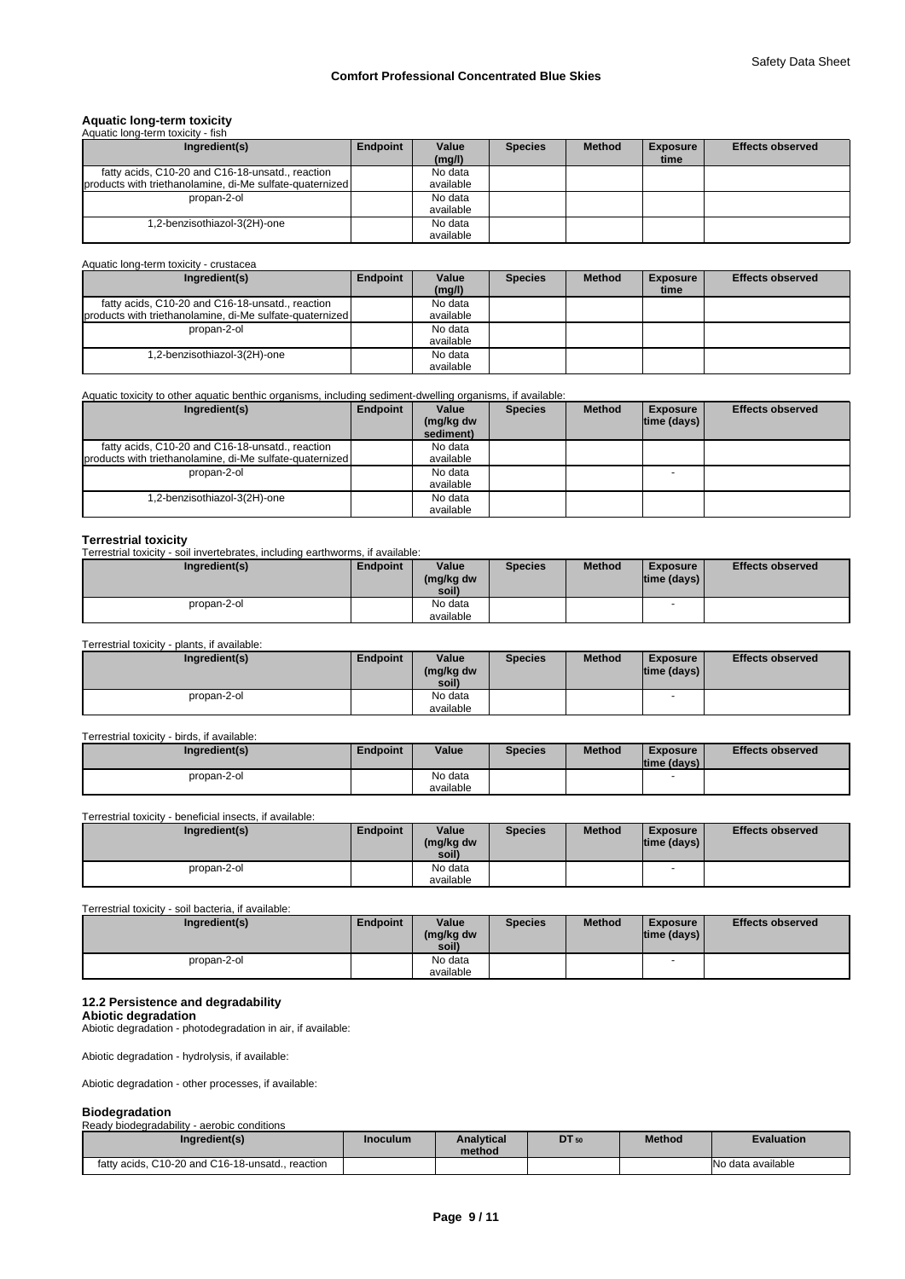# **Aquatic long-term toxicity** Aquatic long-term toxicity - fish

| Ingredient(s)                                            | Endpoint | Value     | <b>Species</b> | <b>Method</b> | <b>Exposure</b> | <b>Effects observed</b> |
|----------------------------------------------------------|----------|-----------|----------------|---------------|-----------------|-------------------------|
|                                                          |          | (mg/l)    |                |               | time            |                         |
| fatty acids, C10-20 and C16-18-unsatd., reaction         |          | No data   |                |               |                 |                         |
| products with triethanolamine, di-Me sulfate-quaternized |          | available |                |               |                 |                         |
| propan-2-ol                                              |          | No data   |                |               |                 |                         |
|                                                          |          | available |                |               |                 |                         |
| .2-benzisothiazol-3(2H)-one                              |          | No data   |                |               |                 |                         |
|                                                          |          | available |                |               |                 |                         |

Aquatic long-term toxicity - crustacea

| Ingredient(s)                                            | Endpoint | Value     | <b>Species</b> | <b>Method</b> | <b>Exposure</b> | <b>Effects observed</b> |
|----------------------------------------------------------|----------|-----------|----------------|---------------|-----------------|-------------------------|
|                                                          |          | (mg/l)    |                |               | time            |                         |
| fatty acids, C10-20 and C16-18-unsatd., reaction         |          | No data   |                |               |                 |                         |
| products with triethanolamine, di-Me sulfate-quaternized |          | available |                |               |                 |                         |
| propan-2-ol                                              |          | No data   |                |               |                 |                         |
|                                                          |          | available |                |               |                 |                         |
| 1,2-benzisothiazol-3(2H)-one                             |          | No data   |                |               |                 |                         |
|                                                          |          | available |                |               |                 |                         |

#### Aquatic toxicity to other aquatic benthic organisms, including sediment-dwelling organisms, if available:

| Ingredient(s)                                            | Endpoint | Value                  | <b>Species</b> | <b>Method</b> | <b>Exposure</b>    | <b>Effects observed</b> |
|----------------------------------------------------------|----------|------------------------|----------------|---------------|--------------------|-------------------------|
|                                                          |          | (mg/kg dw<br>sediment) |                |               | $ time$ (days) $ $ |                         |
| fatty acids, C10-20 and C16-18-unsatd., reaction         |          | No data                |                |               |                    |                         |
| products with triethanolamine, di-Me sulfate-quaternized |          | available              |                |               |                    |                         |
| propan-2-ol                                              |          | No data                |                |               |                    |                         |
|                                                          |          | available              |                |               |                    |                         |
| 1,2-benzisothiazol-3(2H)-one                             |          | No data                |                |               |                    |                         |
|                                                          |          | available              |                |               |                    |                         |

#### **Terrestrial toxicity**

Terrestrial toxicity - soil invertebrates, including earthworms, if available:

| Ingredient(s) | <b>Endpoint</b> | Value              | <b>Species</b> | <b>Method</b> | <b>Exposure</b>     | <b>Effects observed</b> |
|---------------|-----------------|--------------------|----------------|---------------|---------------------|-------------------------|
|               |                 | (mg/kg dw<br>soil) |                |               | time (days) $\vert$ |                         |
| propan-2-ol   |                 | No data            |                |               |                     |                         |
|               |                 | available          |                |               |                     |                         |

#### Terrestrial toxicity - plants, if available:

| Ingredient(s) | Endpoint | Value<br>(mg/kg dw<br>soil) | <b>Species</b> | <b>Method</b> | <b>Exposure</b><br>$ time$ (days) $ $ | <b>Effects observed</b> |
|---------------|----------|-----------------------------|----------------|---------------|---------------------------------------|-------------------------|
| propan-2-ol   |          | No data<br>available        |                |               | $\overline{\phantom{a}}$              |                         |

#### Terrestrial toxicity - birds, if available:

| Ingredient(s) | Endpoint | Value     | <b>Species</b> | <b>Method</b> | <b>Exposure</b><br>$ time$ (days) $ $ | <b>Effects observed</b> |
|---------------|----------|-----------|----------------|---------------|---------------------------------------|-------------------------|
| propan-2-ol   |          | No data   |                |               |                                       |                         |
|               |          | available |                |               |                                       |                         |

Terrestrial toxicity - beneficial insects, if available:

| Ingredient(s) | Endpoint | Value<br>(mg/kg dw<br>soil) | <b>Species</b> | <b>Method</b> | Exposure<br> time (days) | <b>Effects observed</b> |
|---------------|----------|-----------------------------|----------------|---------------|--------------------------|-------------------------|
| propan-2-ol   |          | No data                     |                |               |                          |                         |
|               |          | available                   |                |               |                          |                         |

#### Terrestrial toxicity - soil bacteria, if available:

| Ingredient(s) | Endpoint | Value              | <b>Species</b> | <b>Method</b> | <b>Exposure</b> | <b>Effects observed</b> |
|---------------|----------|--------------------|----------------|---------------|-----------------|-------------------------|
|               |          | (mg/kg dw<br>soil) |                |               | time (days)     |                         |
| propan-2-ol   |          | No data            |                |               |                 |                         |
|               |          | available          |                |               |                 |                         |

# **12.2 Persistence and degradability**

**Abiotic degradation** Abiotic degradation - photodegradation in air, if available:

Abiotic degradation - hydrolysis, if available:

Abiotic degradation - other processes, if available:

#### **Biodegradation**

| Ready biodegradability - aerobic conditions      |          |                             |       |               |                   |
|--------------------------------------------------|----------|-----------------------------|-------|---------------|-------------------|
| Ingredient(s)                                    | Inoculum | <b>Analytical</b><br>method | DT 50 | <b>Method</b> | <b>Evaluation</b> |
| fatty acids, C10-20 and C16-18-unsatd., reaction |          |                             |       |               | No data available |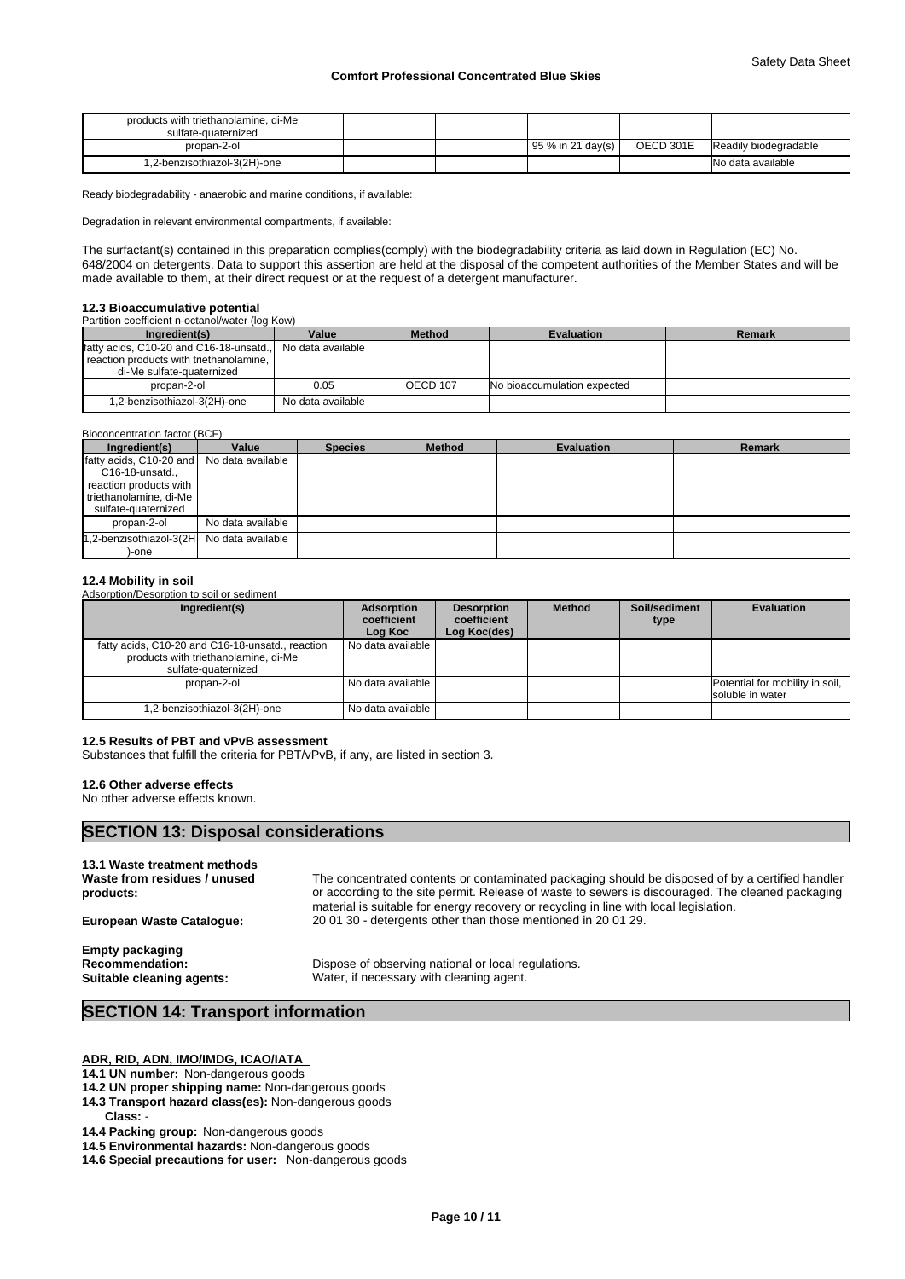| products with triethanolamine, di-Me<br>sulfate-quaternized |  |                     |           |                       |
|-------------------------------------------------------------|--|---------------------|-----------|-----------------------|
| propan-2-ol                                                 |  | $95\%$ in 21 day(s) | OECD 301E | Readily biodegradable |
| 1,2-benzisothiazol-3(2H)-one                                |  |                     |           | No data available     |

Ready biodegradability - anaerobic and marine conditions, if available:

Degradation in relevant environmental compartments, if available:

The surfactant(s) contained in this preparation complies(comply) with the biodegradability criteria as laid down in Regulation (EC) No. 648/2004 on detergents. Data to support this assertion are held at the disposal of the competent authorities of the Member States and will be made available to them, at their direct request or at the request of a detergent manufacturer.

#### **12.3 Bioaccumulative potential**

|  | Partition coefficient n-octanol/water (log Kow) |  |  |
|--|-------------------------------------------------|--|--|
|  |                                                 |  |  |

| Ingredient(s)                           | Value             | <b>Method</b>   | <b>Evaluation</b>           | Remark |
|-----------------------------------------|-------------------|-----------------|-----------------------------|--------|
| fatty acids, C10-20 and C16-18-unsatd., | No data available |                 |                             |        |
| reaction products with triethanolamine, |                   |                 |                             |        |
| di-Me sulfate-quaternized               |                   |                 |                             |        |
| propan-2-ol                             | 0.05              | <b>OECD 107</b> | No bioaccumulation expected |        |
| 1,2-benzisothiazol-3(2H)-one            | No data available |                 |                             |        |

#### Bioconcentration factor (BCF)

| Ingredient(s)                             | Value             | <b>Species</b> | <b>Method</b> | <b>Evaluation</b> | <b>Remark</b> |
|-------------------------------------------|-------------------|----------------|---------------|-------------------|---------------|
| fatty acids, C10-20 and No data available |                   |                |               |                   |               |
| C16-18-unsatd.,                           |                   |                |               |                   |               |
| reaction products with                    |                   |                |               |                   |               |
| triethanolamine, di-Me                    |                   |                |               |                   |               |
| sulfate-quaternized                       |                   |                |               |                   |               |
| propan-2-ol                               | No data available |                |               |                   |               |
| 1,2-benzisothiazol-3(2H No data available |                   |                |               |                   |               |
| )-one                                     |                   |                |               |                   |               |

#### **12.4 Mobility in soil**

Adsorption/Desorption to soil or sediment

| Ingredient(s)                                                                                                   | <b>Adsorption</b><br>coefficient<br>Log Koc | <b>Desorption</b><br>coefficient<br>Log Koc(des) | <b>Method</b> | Soil/sediment<br>type | <b>Evaluation</b>                                   |
|-----------------------------------------------------------------------------------------------------------------|---------------------------------------------|--------------------------------------------------|---------------|-----------------------|-----------------------------------------------------|
| fatty acids, C10-20 and C16-18-unsatd., reaction<br>products with triethanolamine, di-Me<br>sulfate-quaternized | l No data available                         |                                                  |               |                       |                                                     |
| propan-2-ol                                                                                                     | No data available                           |                                                  |               |                       | Potential for mobility in soil,<br>soluble in water |
| 1,2-benzisothiazol-3(2H)-one                                                                                    | No data available                           |                                                  |               |                       |                                                     |

#### **12.5 Results of PBT and vPvB assessment**

Substances that fulfill the criteria for PBT/vPvB, if any, are listed in section 3.

#### **12.6 Other adverse effects**

No other adverse effects known.

# **SECTION 13: Disposal considerations**

| 13.1 Waste treatment methods<br>Waste from residues / unused<br>products:     | The concentrated contents or contaminated packaging should be disposed of by a certified handler<br>or according to the site permit. Release of waste to sewers is discouraged. The cleaned packaging<br>material is suitable for energy recovery or recycling in line with local legislation. |
|-------------------------------------------------------------------------------|------------------------------------------------------------------------------------------------------------------------------------------------------------------------------------------------------------------------------------------------------------------------------------------------|
| <b>European Waste Catalogue:</b>                                              | 200130 - detergents other than those mentioned in 200129.                                                                                                                                                                                                                                      |
| <b>Empty packaging</b><br><b>Recommendation:</b><br>Suitable cleaning agents: | Dispose of observing national or local regulations.<br>Water, if necessary with cleaning agent.                                                                                                                                                                                                |

# **SECTION 14: Transport information**

#### **ADR, RID, ADN, IMO/IMDG, ICAO/IATA**

**14.1 UN number:** Non-dangerous goods

- **14.2 UN proper shipping name:** Non-dangerous goods
- **14.3 Transport hazard class(es):** Non-dangerous goods

**Class:** -

- **14.4 Packing group:** Non-dangerous goods
- **14.5 Environmental hazards:** Non-dangerous goods
- **14.6 Special precautions for user:** Non-dangerous goods